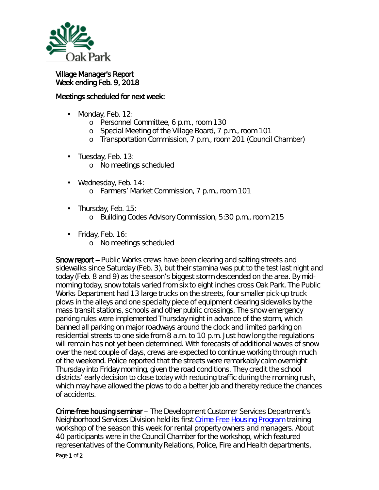

## Village Manager's Report Week ending Feb. 9, 2018

## Meetings scheduled for next week:

- Monday, Feb. 12: L.
	- o Personnel Committee, 6 p.m., room 130
	- o Special Meeting of the Village Board, 7 p.m., room 101
	- o Transportation Commission, 7 p.m., room 201 (Council Chamber)
- $\cdot$  Tuesday, Feb. 13:
	- o No meetings scheduled
- Wednesday, Feb. 14: o Farmers' Market Commission, 7 p.m., room 101
- . Thursday, Feb. 15:
	- o Building Codes Advisory Commission, 5:30 p.m., room 215
- $\cdot$  Friday, Feb. 16:
	- o No meetings scheduled

Snow report -- Public Works crews have been clearing and salting streets and sidewalks since Saturday (Feb. 3), but their stamina was put to the test last night and today (Feb. 8 and 9) as the season's biggest storm descended on the area. By midmorning today, snow totals varied from six to eight inches cross Oak Park. The Public Works Department had 13 large trucks on the streets, four smaller pick-up truck plows in the alleys and one specialty piece of equipment clearing sidewalks by the mass transit stations, schools and other public crossings. The snow emergency parking rules were implemented Thursday night in advance of the storm, which banned all parking on major roadways around the clock and limited parking on residential streets to one side from 8 a.m. to 10 p.m. Just how long the regulations will remain has not yet been determined. With forecasts of additional waves of snow over the next couple of days, crews are expected to continue working through much of the weekend. Police reported that the streets were remarkably calm overnight Thursday into Friday morning, given the road conditions. They credit the school districts' early decision to close today with reducing traffic during the morning rush, which may have allowed the plows to do a better job and thereby reduce the chances of accidents.

Crime-free housing seminar – The Development Customer Services Department's Neighborhood Services Division held its first [Crime Free Housing Program](http://www.oak-park.us/village-services/housing-programs/crime-free-housing-program) training workshop of the season this week for rental property owners and managers. About 40 participants were in the Council Chamber for the workshop, which featured representatives of the Community Relations, Police, Fire and Health departments,